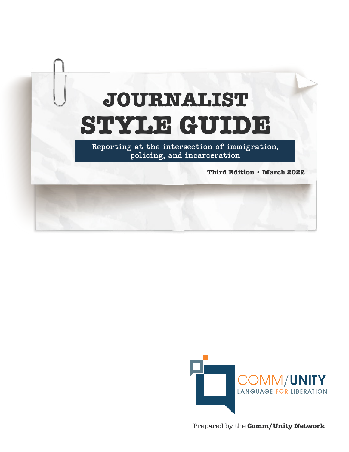# **JOURNALIST STYLE GUIDE**

Reporting at the intersection of immigration, policing, and incarceration

**Third Edition • March 2022**



Prepared by the **Comm/Unity Network**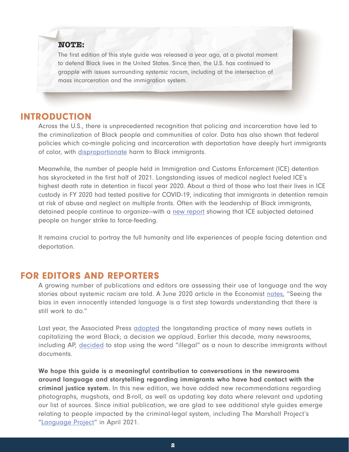#### **NOTE:**

The first edition of this style guide was released a year ago, at a pivotal moment to defend Black lives in the United States. Since then, the U.S. has continued to grapple with issues surrounding systemic racism, including at the intersection of mass incarceration and the immigration system.

#### INTRODUCTION

Across the U.S., there is unprecedented recognition that policing and incarceration have led to the criminalization of Black people and communities of color. Data has also shown that federal policies which co-mingle policing and incarceration with deportation have deeply hurt immigrants of color, with [disproportionate](https://www.theatlantic.com/politics/archive/2017/12/the-double-punishment-for-black-immigrants/549425/) harm to Black immigrants.

Meanwhile, the number of people held in Immigration and Customs Enforcement (ICE) detention has skyrocketed in the first half of 2021. Longstanding issues of medical neglect fueled ICE's highest death rate in detention in fiscal year 2020. About a third of those who lost their lives in ICE custody in FY 2020 had tested positive for COVID-19, indicating that immigrants in detention remain at risk of abuse and neglect on multiple fronts. Often with the leadership of Black immigrants, detained people continue to organize—with a [new report](https://www.cnn.com/2021/06/23/politics/ice-immigrants-hunger-strikes-force-fed/index.html) showing that ICE subjected detained people on hunger strike to force-feeding.

It remains crucial to portray the full humanity and life experiences of people facing detention and deportation.

#### FOR EDITORS AND REPORTERS

A growing number of publications and editors are assessing their use of language and the way stories about systemic racism are told. A June 2020 article in the Economist [notes,](https://www.economist.com/books-and-arts/2020/06/12/language-is-a-telling-clue-to-unacknowledged-racial-attitudes) "Seeing the bias in even innocently intended language is a first step towards understanding that there is still work to do."

Last year, the Associated Press **[adopted](https://apnews.com/71386b46dbff8190e71493a763e8f45a)** the longstanding practice of many news outlets in capitalizing the word Black; a decision we applaud. Earlier this decade, many newsrooms, including AP, [decided](https://blog.ap.org/announcements/illegal-immigrant-no-more) to stop using the word "illegal" as a noun to describe immigrants without documents.

We hope this guide is a meaningful contribution to conversations in the newsrooms around language and storytelling regarding immigrants who have had contact with the criminal justice system. In this new edition, we have added new recommendations regarding photographs, mugshots, and B-roll, as well as updating key data where relevant and updating our list of sources. Since initial publication, we are glad to see additional style guides emerge relating to people impacted by the criminal-legal system, including The Marshall Project's "[Language Project](https://www.themarshallproject.org/2021/04/12/the-language-project)" in April 2021.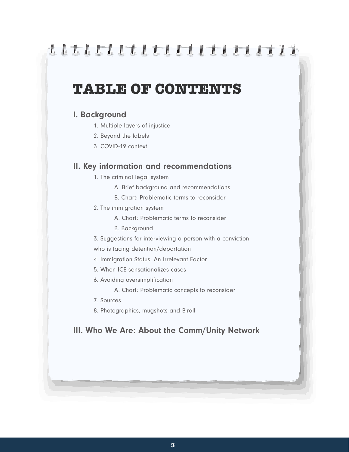## ,,,,,,,,,,,,,,,,,,,,,

### **TABLE OF CONTENTS**

#### I. Background

- 1. Multiple layers of injustice
- 2. Beyond the labels
- 3. COVID-19 context

#### II. Key information and recommendations

- 1. The criminal legal system
	- A. Brief background and recommendations
	- B. Chart: Problematic terms to reconsider
- 2. The immigration system
	- A. Chart: Problematic terms to reconsider
	- B. Background
- 3. Suggestions for interviewing a person with a conviction who is facing detention/deportation
- 4. Immigration Status: An Irrelevant Factor
- 5. When ICE sensationalizes cases
- 6. Avoiding oversimplification
	- A. Chart: Problematic concepts to reconsider
- 7. Sources
- 8. Photographics, mugshots and B-roll

#### III. Who We Are: About the Comm/Unity Network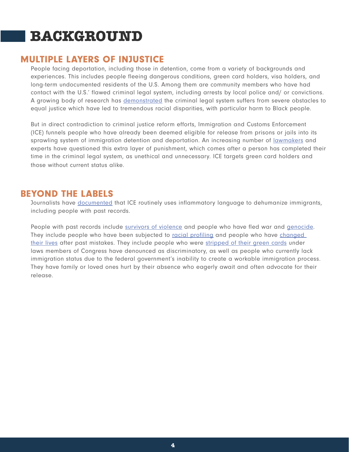## **BACKGROUND**

#### MULTIPLE LAYERS OF INJUSTICE

People facing deportation, including those in detention, come from a variety of backgrounds and experiences. This includes people fleeing dangerous conditions, green card holders, visa holders, and long-term undocumented residents of the U.S. Among them are community members who have had contact with the U.S.' flawed criminal legal system, including arrests by local police and/ or convictions. A growing body of research has [demonstrated](https://www.sentencingproject.org/publications/un-report-on-racial-disparities/) the criminal legal system suffers from severe obstacles to equal justice which have led to tremendous racial disparities, with particular harm to Black people.

But in direct contradiction to criminal justice reform efforts, Immigration and Customs Enforcement (ICE) funnels people who have already been deemed eligible for release from prisons or jails into its sprawling system of immigration detention and deportation. An increasing number of [lawmakers](https://www.facebook.com/watch/live/?v=431587804451817) and experts have questioned this extra layer of punishment, which comes after a person has completed their time in the criminal legal system, as unethical and unnecessary. ICE targets green card holders and those without current status alike.

#### BEYOND THE LABELS

Journalists have [documented](https://www.topic.com/ice-and-the-banality-of-spin) that ICE routinely uses inflammatory language to dehumanize immigrants, including people with past records.

People with past records include [survivors of violence](https://theappeal.org/i-was-in-constant-fear-immigrant-faces-deportation-after-prison-for-domestic-dispute/) and people who have fled war and [genocide.](https://www.sacbee.com/news/california/article243077046.html) They include people who have been subjected to [racial profiling](https://www.vox.com/identities/2019/9/30/20875821/black-immigrants-school-prison-deportation-pipeline) and people who have changed [their lives](https://chicago.suntimes.com/2019/12/10/20993982/chicago-immigration-alejandra-cano-chile-deportation-political-asylum-shoplifting) after past mistakes. They include people who were [stripped of their green cards](https://www.washingtonpost.com/local/immigration/federal-judge-revokes-green-card-orders-deportation-of-virginia-activist-alejandra-pablos/2018/12/12/fac5f3ea-fe40-11e8-862a-b6a6f3ce8199_story.html) under laws members of Congress have denounced as discriminatory, as well as people who currently lack immigration status due to the federal government's inability to create a workable immigration process. They have family or loved ones hurt by their absence who eagerly await and often advocate for their release.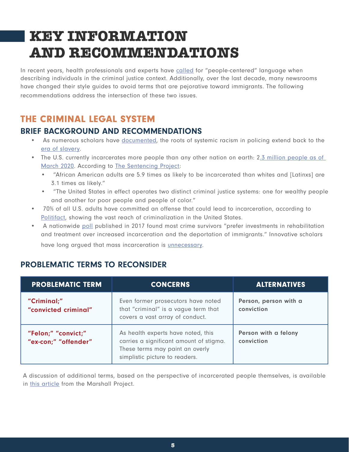# **KEY INFORMATION AND RECOMMENDATIONS**

In recent years, health professionals and experts have [called](https://www.ncbi.nlm.nih.gov/pmc/articles/PMC6240232/) for "people-centered" language when describing individuals in the criminal justice context. Additionally, over the last decade, many newsrooms have changed their style guides to avoid terms that are pejorative toward immigrants. The following recommendations address the intersection of these two issues.

### THE CRIMINAL LEGAL SYSTEM

#### BRIEF BACKGROUND AND RECOMMENDATIONS

- As numerous scholars have [documented,](https://www.usatoday.com/story/news/nation/2020/06/07/black-lives-matters-police-departments-have-long-history-racism/3128167001/) the roots of systemic racism in policing extend back to the [era of slavery.](https://www.washingtonpost.com/outlook/2020/05/30/violence-minneapolis-is-rooted-history-racist-policing-america/)
- The U.S. currently incarcerates more people than any other nation on earth: 2.3 million people as of [March 2020.](https://www.prisonpolicy.org/reports/pie2020.html) According to [The Sentencing Project](https://www.sentencingproject.org/publications/un-report-on-racial-disparities/):
	- "African American adults are 5.9 times as likely to be incarcerated than whites and [Latinxs] are 3.1 times as likely."
	- "The United States in effect operates two distinct criminal justice systems: one for wealthy people and another for poor people and people of color."
- 70% of all U.S. adults have committed an offense that could lead to incarceration, according to [Politifact](https://www.politifact.com/factchecks/2014/dec/08/stephen-carter/watch-out-70-us-have-done-something-could-put-us-j/), showing the vast reach of criminalization in the United States.
- A nationwide [poll](https://www.nytimes.com/2017/08/11/us/crime-victims-poll-trump-agenda.html) published in 2017 found most crime survivors "prefer investments in rehabilitation and treatment over increased incarceration and the deportation of immigrants." Innovative scholars have long argued that mass incarceration is [unnecessary.](https://www.nytimes.com/2019/04/17/magazine/prison-abolition-ruth-wilson-gilmore.html)

#### PROBLEMATIC TERMS TO RECONSIDER

| <b>PROBLEMATIC TERM</b>                     | <b>CONCERNS</b>                                                                                                                                    | <b>ALTERNATIVES</b>                 |
|---------------------------------------------|----------------------------------------------------------------------------------------------------------------------------------------------------|-------------------------------------|
| "Criminal;"<br>"convicted criminal"         | Even former prosecutors have noted<br>that "criminal" is a vague term that<br>covers a vast array of conduct.                                      | Person, person with a<br>conviction |
| "Felon;" "convict;"<br>"ex-con;" "offender" | As health experts have noted, this<br>carries a significant amount of stigma.<br>These terms may paint an overly<br>simplistic picture to readers. | Person with a felony<br>conviction  |

A discussion of additional terms, based on the perspective of incarcerated people themselves, is available in [this article](https://www.themarshallproject.org/2015/04/03/inmate-prisoner-other-discussed) from the Marshall Project.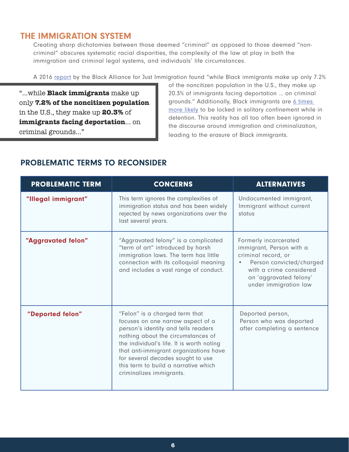#### THE IMMIGRATION SYSTEM

Creating sharp dichotomies between those deemed "criminal" as opposed to those deemed "noncriminal" obscures systematic racial disparities, the complexity of the law at play in both the immigration and criminal legal systems, and individuals' life circumstances.

A 2016 [report](http://www.stateofblackimmigrants.com/) by the Black Alliance for Just Immigration found "while Black immigrants make up only 7.2%

"...while **Black immigrants** make up only **7.2% of the noncitizen population** in the U.S., they make up **20.3%** of **immigrants facing deportation**... on criminal grounds..."

of the noncitizen population in the U.S., they make up 20.3% of immigrants facing deportation … on criminal grounds." Additionally, Black immigrants are 6 times [more likely](https://www.icij.org/investigations/solitary-voices/u-s-isolates-detained-immigrants-from-majority-black-countries-at-high-rate-study-finds/) to be locked in solitary confinement while in detention. This reality has all too often been ignored in the discourse around immigration and criminalization, leading to the erasure of Black immigrants.

| <b>PROBLEMATIC TERM</b> | <b>CONCERNS</b>                                                                                                                                                                                                                                                                                                                                                                                                                | <b>ALTERNATIVES</b>                                                                                                                                                                |
|-------------------------|--------------------------------------------------------------------------------------------------------------------------------------------------------------------------------------------------------------------------------------------------------------------------------------------------------------------------------------------------------------------------------------------------------------------------------|------------------------------------------------------------------------------------------------------------------------------------------------------------------------------------|
| "Illegal immigrant"     | This term ignores the complexities of<br>immigration status and has been widely<br>rejected by news organizations over the<br>last several years.                                                                                                                                                                                                                                                                              | Undocumented immigrant,<br>Immigrant without current<br>status                                                                                                                     |
| "Aggravated felon"      | "Aggravated felony" is a complicated<br>"term of art" introduced by harsh<br>immigration laws. The term has little<br>connection with its colloquial meaning<br>and includes a vast range of conduct.                                                                                                                                                                                                                          | Formerly incarcerated<br>immigrant, Person with a<br>criminal record, or<br>Person convicted/charged<br>with a crime considered<br>an 'aggravated felony'<br>under immigration law |
| "Deported felon"        | "Felon" is a charged term that<br>Deported person,<br>Person who was deported<br>focuses on one narrow aspect of a<br>person's identity and tells readers<br>after completing a sentence<br>nothing about the circumstances of<br>the individual's life. It is worth noting<br>that anti-immigrant organizations have<br>for several decades sought to use<br>this term to build a narrative which<br>criminalizes immigrants. |                                                                                                                                                                                    |

#### PROBLEMATIC TERMS TO RECONSIDER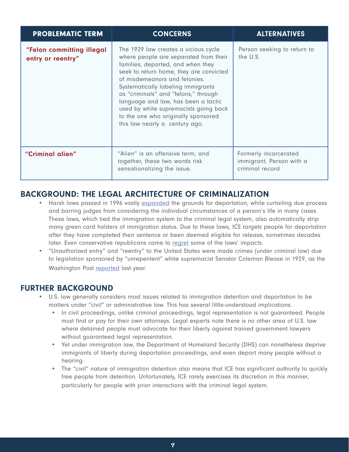| <b>PROBLEMATIC TERM</b>                        | <b>CONCERNS</b>                                                                                                                                                                                                                                                                                                                                                                                                                       | <b>ALTERNATIVES</b>                                                  |
|------------------------------------------------|---------------------------------------------------------------------------------------------------------------------------------------------------------------------------------------------------------------------------------------------------------------------------------------------------------------------------------------------------------------------------------------------------------------------------------------|----------------------------------------------------------------------|
| "Felon committing illegal<br>entry or reentry" | The 1929 law creates a vicious cycle<br>where people are separated from their<br>families, deported, and when they<br>seek to return home, they are convicted<br>of misdemeanors and felonies.<br>Systematically labeling immigrants<br>as "criminals" and "felons," through<br>language and law, has been a tactic<br>used by white supremacists going back<br>to the one who originally sponsored<br>this law nearly a century ago. | Person seeking to return to<br>the U.S.                              |
| "Criminal alien"                               | "Alien" is an offensive term; and<br>together, these two words risk<br>sensationalizing the issue.                                                                                                                                                                                                                                                                                                                                    | Formerly incarcerated<br>immigrant, Person with a<br>criminal record |

#### BACKGROUND: THE LEGAL ARCHITECTURE OF CRIMINALIZATION

- Harsh laws passed in 1996 vastly [expanded](http://immigrantjusticenetwork.org/wp-content/uploads/2020/02/2019.11-New-Way-Forward-backgrounder_FINAL_12.6.pdf) the grounds for deportation, while curtailing due process and barring judges from considering the individual circumstances of a person's life in many cases. These laws, which tied the immigration system to the criminal legal system, also automatically strip many green card holders of immigration status. Due to these laws, ICE targets people for deportation after they have completed their sentence or been deemed eligible for release, sometimes decades later. Even conservative republicans came to [regret](https://www.washingtonpost.com/wp-srv/WPcap/2000-03/05/080r-030500-idx.html) some of the laws' impacts.
- "Unauthorized entry" and "reentry" to the United States were made crimes (under criminal law) due to legislation sponsored by "unrepentent" white supremacist Senator Coleman Blease in 1929, as the Washington Post [reported](https://www.washingtonpost.com/nation/2019/06/27/julian-castro-beto-orourke-section-immigration-illegal-coleman-livingstone-blease/) last year.

#### FURTHER BACKGROUND

- U.S. law generally considers most issues related to immigration detention and deportation to be matters under "civil" or administrative law. This has several little-understood implications.
	- In civil proceedings, unlike criminal proceedings, legal representation is not guaranteed. People must find or pay for their own attorneys. Legal experts note there is no other area of U.S. law where detained people must advocate for their liberty against trained government lawyers without guaranteed legal representation.
	- Yet under immigration law, the Department of Homeland Security (DHS) can nonetheless deprive immigrants of liberty during deportation proceedings, and even deport many people without a hearing.
	- The "civil" nature of immigration detention also means that ICE has significant authority to quickly free people from detention. Unfortunately, ICE rarely exercises its discretion in this manner, particularly for people with prior interactions with the criminal legal system.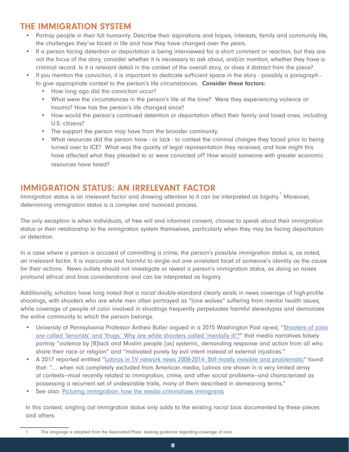#### THE IMMIGRATION SYSTEM

- Portray people in their full humanity. Describe their aspirations and hopes, interests, family and community life, the challenges they've faced in life and how they have changed over the years.
- If a person facing detention or deportation is being interviewed for a short comment or reaction, but they are not the focus of the story, consider whether it is necessary to ask about, and/or mention, whether they have a criminal record. Is it a relevant detail in the context of the overall story, or does it distract from the piece?
- If you mention the conviction, it is important to dedicate sufficient space in the story possibly a paragraph to give appropriate context to the person's life circumstances. Consider these factors:
	- How long ago did the conviction occur?
	- What were the circumstances in the person's life at the time? Were they experiencing violence or trauma? How has the person's life changed since?
	- How would the person's continued detention or deportation affect their family and loved ones, including U.S. citizens?
	- The support the person may have from the broader community.
	- What resources did the person have or lack to contest the criminal charges they faced prior to being turned over to ICE? What was the quality of legal representation they received, and how might this have affected what they pleaded to or were convicted of? How would someone with greater economic resources have fared?

#### IMMIGRATION STATUS: AN IRRELEVANT FACTOR

Immigration status is an irrelevant factor and drawing attention to it can be interpreted as bigotry. $^{\rm 1}$  Moreover, determining immigration status is a complex and nuanced process.

The only exception is when individuals, of free will and informed consent, choose to speak about their immigration status or their relationship to the immigration system themselves, particularly when they may be facing deportation or detention.

In a case where a person is accused of committing a crime, the person's possible immigration status is, as noted, an irrelevant factor. It is inaccurate and harmful to single out one unrelated facet of someone's identity as the cause for their actions. News outlets should not investigate or reveal a person's immigration status, as doing so raises profound ethical and bias considerations and can be interpreted as bigotry.

Additionally, scholars have long noted that a racial double-standard clearly exists in news coverage of high-profile shootings, with shooters who are white men often portrayed as "lone wolves" suffering from mental health issues, while coverage of people of color involved in shootings frequently perpetuates harmful stereotypes and demonizes the entire community to which the person belongs.

- University of Pennsylvania Professor Anthea Butler argued in a 2015 Washington Post op-ed, "[Shooters of color](https://www.washingtonpost.com/posteverything/wp/2015/06/18/call-the-charleston-church-shooting-what-it-is-terrorism/) [are called 'terrorists' and 'thugs.' Why are white shooters called 'mentally ill'?"](https://www.washingtonpost.com/posteverything/wp/2015/06/18/call-the-charleston-church-shooting-what-it-is-terrorism/) that media narratives falsely portray "violence by [B]lack and Muslim people [as] systemic, demanding response and action from all who share their race or religion" and "motivated purely by evil intent instead of external injustices."
- A 2017 reported entitled ["Latinos in TV network news 2008-2014: Still mostly invisible and problematic](https://www.researchgate.net/publication/312577225_Latinos_in_TV_network_news_2008-2014_Still_mostly_invisible_and_problematic)" found that: ".... when not completely excluded from American media, Latinos are shown in a very limited array of contexts—most recently related to immigration, crime, and other social problems—and characterized as possessing a recurrent set of undesirable traits, many of them described in demeaning terms."
- See also: [Picturing immigration: how the media criminalizes immigrants](https://www.tandfonline.com/doi/abs/10.1080/21565503.2018.1484375?scroll=top&needAccess=true&journalCode=rpgi20)

In this context, singling out immigration status only adds to the existing racial bias documented by these pieces and others.

<sup>1</sup> This language is adapted from the Associated Press' existing guidance regarding coverage of race.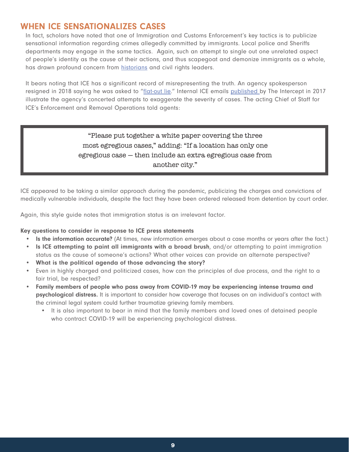#### WHEN ICE SENSATIONALIZES CASES

In fact, scholars have noted that one of Immigration and Customs Enforcement's key tactics is to publicize sensational information regarding crimes allegedly committed by immigrants. Local police and Sheriffs departments may engage in the same tactics. Again, such an attempt to single out one unrelated aspect of people's identity as the cause of their actions, and thus scapegoat and demonize immigrants as a whole, has drawn profound concern from [historians](https://www.theatlantic.com/politics/archive/2017/03/trump-scapegoats-unauthorized-immigrants-for-crime/518238/) and civil rights leaders.

It bears noting that ICE has a significant record of misrepresenting the truth. An agency spokesperson resigned in 2018 saying he was asked to "[flat-out lie.](https://www.vox.com/2018/6/28/17514964/ice-spokesperson-flat-out-lie)" Internal ICE emails [published](https://theintercept.com/2017/10/04/ice-raids-trump-immigration-deportation/) by The Intercept in 2017 illustrate the agency's concerted attempts to exaggerate the severity of cases. The acting Chief of Staff for ICE's Enforcement and Removal Operations told agents:

> "Please put together a white paper covering the three most egregious cases," adding: "If a location has only one egregious case — then include an extra egregious case from another city."

ICE appeared to be taking a similar approach during the pandemic, publicizing the charges and convictions of medically vulnerable individuals, despite the fact they have been ordered released from detention by court order.

Again, this style guide notes that immigration status is an irrelevant factor.

#### Key questions to consider in response to ICE press statements

- Is the information accurate? (At times, new information emerges about a case months or years after the fact.)
- Is ICE attempting to paint all immigrants with a broad brush, and/or attempting to paint immigration status as the cause of someone's actions? What other voices can provide an alternate perspective?
- What is the political agenda of those advancing the story?
- Even in highly charged and politicized cases, how can the principles of due process, and the right to a fair trial, be respected?
- Family members of people who pass away from COVID-19 may be experiencing intense trauma and psychological distress. It is important to consider how coverage that focuses on an individual's contact with the criminal legal system could further traumatize grieving family members.
	- It is also important to bear in mind that the family members and loved ones of detained people who contract COVID-19 will be experiencing psychological distress.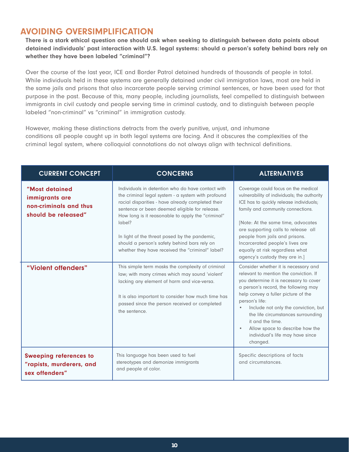#### AVOIDING OVERSIMPLIFICATION

There is a stark ethical question one should ask when seeking to distinguish between data points about detained individuals' past interaction with U.S. legal systems: should a person's safety behind bars rely on whether they have been labeled "criminal"?

Over the course of the last year, ICE and Border Patrol detained hundreds of thousands of people in total. While individuals held in these systems are generally detained under civil immigration laws, most are held in the same jails and prisons that also incarcerate people serving criminal sentences, or have been used for that purpose in the past. Because of this, many people, including journalists, feel compelled to distinguish between immigrants in civil custody and people serving time in criminal custody, and to distinguish between people labeled "non-criminal" vs "criminal" in immigration custody.

However, making these distinctions detracts from the overly punitive, unjust, and inhumane conditions all people caught up in both legal systems are facing. And it obscures the complexities of the criminal legal system, where colloquial connotations do not always align with technical definitions.

| <b>CURRENT CONCEPT</b>                                                            | <b>CONCERNS</b>                                                                                                                                                                                                                                                                                                                                                                                                                   | <b>ALTERNATIVES</b>                                                                                                                                                                                                                                                                                                                                                                                                         |
|-----------------------------------------------------------------------------------|-----------------------------------------------------------------------------------------------------------------------------------------------------------------------------------------------------------------------------------------------------------------------------------------------------------------------------------------------------------------------------------------------------------------------------------|-----------------------------------------------------------------------------------------------------------------------------------------------------------------------------------------------------------------------------------------------------------------------------------------------------------------------------------------------------------------------------------------------------------------------------|
| "Most detained<br>immigrants are<br>non-criminals and thus<br>should be released" | Individuals in detention who do have contact with<br>the criminal legal system - a system with profound<br>racial disparities - have already completed their<br>sentence or been deemed eligible for release.<br>How long is it reasonable to apply the "criminal"<br>label?<br>In light of the threat posed by the pandemic,<br>should a person's safety behind bars rely on<br>whether they have received the "criminal" label? | Coverage could focus on the medical<br>vulnerability of individuals; the authority<br>ICE has to quickly release individuals;<br>family and community connections.<br>[Note: At the same time, advocates<br>are supporting calls to release all<br>people from jails and prisons.<br>Incarcerated people's lives are<br>equally at risk regardless what<br>agency's custody they are in.]                                   |
| "Violent offenders"                                                               | This simple term masks the complexity of criminal<br>law; with many crimes which may sound 'violent'<br>lacking any element of harm and vice-versa.<br>It is also important to consider how much time has<br>passed since the person received or completed<br>the sentence.                                                                                                                                                       | Consider whether it is necessary and<br>relevant to mention the conviction. If<br>you determine it is necessary to cover<br>a person's record, the following may<br>help convey a fuller picture of the<br>person's life:<br>Include not only the conviction, but<br>the life circumstances surrounding<br>it and the time.<br>Allow space to describe how the<br>$\bullet$<br>individual's life may have since<br>changed. |
| <b>Sweeping references to</b><br>"rapists, murderers, and<br>sex offenders"       | This language has been used to fuel<br>stereotypes and demonize immigrants<br>and people of color.                                                                                                                                                                                                                                                                                                                                | Specific descriptions of facts<br>and circumstances.                                                                                                                                                                                                                                                                                                                                                                        |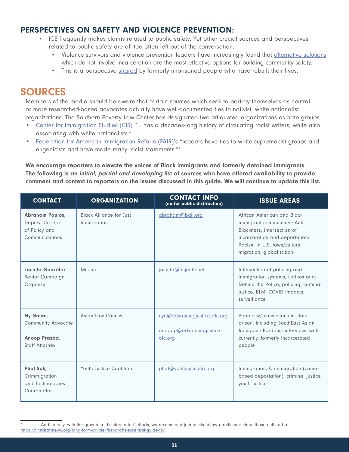#### PERSPECTIVES ON SAFETY AND VIOLENCE PREVENTION:

- ICE frequently makes claims related to public safety. Yet other crucial sources and perspectives related to public safety are all too often left out of the conversation.
	- Violence survivors and violence prevention leaders have increasingly found that [alternative solutions](https://www.usatoday.com/story/opinion/policing/2020/01/22/end-mass-incarceration-u-s-needs-prison-alternatives-violent-crimes/4466214002/) which do not involve incarceration are the most effective options for building community safety.
	- This is a perspective [shared](https://undergroundscholars.berkeley.edu/news/2019/3/6/language-guide-for-communicating-about-those-involved-in-the-carceral-system)) by formerly imprisoned people who have rebuilt their lives.

### SOURCES

Members of the media should be aware that certain sources which seek to portray themselves as neutral or more researched-based advocates actually have well-documented ties to nativist, white nationalist organizations. The Southern Poverty Law Center has designated two oft-quoted organizations as hate groups.

- [Center for Immigration Studies \(CIS\)](https://www.splcenter.org/fighting-hate/extremist-files/group/center-immigration-studies) "... has a decades-long history of circulating racist writers, while also associating with white nationalists."
- [Federation for American Immigration Reform \(FAIR\)](https://www.splcenter.org/fighting-hate/extremist-files/group/federation-american-immigration-reform)'s "leaders have ties to white supremacist groups and eugenicists and have made many racist statements."1

We encourage reporters to elevate the voices of Black immigrants and formerly detained immigrants. The following is an *initial, partial and developing* list of sources who have offered availability to provide comment and context to reporters on the issues discussed in this guide. We will continue to update this list.

| <b>CONTACT</b>                                                                   | <b>ORGANIZATION</b>                           | <b>CONTACT INFO</b><br>(no for public distribution)                 | <b>ISSUE AREAS</b>                                                                                                                                                                     |
|----------------------------------------------------------------------------------|-----------------------------------------------|---------------------------------------------------------------------|----------------------------------------------------------------------------------------------------------------------------------------------------------------------------------------|
| <b>Abraham Paulos,</b><br>Deputy Director<br>of Policy and<br>Communications     | <b>Black Alliance for Just</b><br>Immigration | abraham@baji.org                                                    | African American and Black<br>immigrant communities; Anti-<br>Blackness, intersection of<br>incarceration and deportation;<br>Racism in U.S. laws/culture,<br>migration, globalization |
| Jacinta González,<br>Senior Campaign<br>Organizer                                | Mijente                                       | jacinta@mijente.net                                                 | Intersection of policing and<br>immigration systems, Latinos and:<br>Defund the Police, policing, criminal<br>justice, BLM, COVID impacts;<br>surveillance                             |
| Ny Nourn,<br><b>Community Advocate</b><br>Anoop Prasad,<br><b>Staff Attorney</b> | Asian Law Caucus                              | nyn@advancingjustice-alc.org<br>anoopp@advancingjustice-<br>alc.org | People w/ convictions in state<br>prison, including SouthEast Asian<br>Refugees; Pardons; interviews with<br>currently, formerly incarcerated<br>people                                |
| Phal Sok,<br>Crimmigration<br>and Technologies<br>Coordinator                    | <b>Youth Justice Coalition</b>                | phal@youthjusticela.org                                             | Immigration, Crimmigration (crime-<br>based deportation), criminal justice,<br>youth justice                                                                                           |

Additionally, with the growth in 'disinformation' efforts, we recommend journalists follow practices such as those outlined at <https://firstdraftnews.org/long-form-article/first-drafts-essential-guide-to/>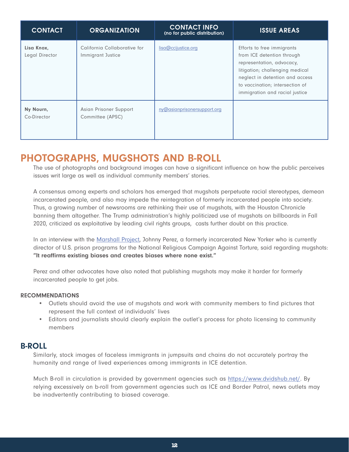| <b>CONTACT</b>               | <b>ORGANIZATION</b>                               | <b>CONTACT INFO</b><br>(no for public distribution) | <b>ISSUE AREAS</b>                                                                                                                                                                                                               |
|------------------------------|---------------------------------------------------|-----------------------------------------------------|----------------------------------------------------------------------------------------------------------------------------------------------------------------------------------------------------------------------------------|
| Lisa Knox,<br>Legal Director | California Collaborative for<br>Immigrant Justice | lisa@ccijustice.org                                 | Efforts to free immigrants<br>from ICE detention through<br>representation, advocacy,<br>litigation; challenging medical<br>neglect in detention and access<br>to vaccination; intersection of<br>immigration and racial justice |
| Ny Nourn,<br>Co-Director     | Asian Prisoner Support<br>Committee (APSC)        | ny@asianprisonersupport.org                         |                                                                                                                                                                                                                                  |

### PHOTOGRAPHS, MUGSHOTS AND B-ROLL

The use of photographs and background images can have a significant influence on how the public perceives issues writ large as well as individual community members' stories.

A consensus among experts and scholars has emerged that mugshots perpetuate racial stereotypes, demean incarcerated people, and also may impede the reintegration of formerly incarcerated people into society. Thus, a growing number of newsrooms are rethinking their use of mugshots, with the Houston Chronicle banning them altogether. The Trump administration's highly politicized use of mugshots on billboards in Fall 2020, criticized as exploitative by leading civil rights groups, casts further doubt on this practice.

In an interview with the [Marshall Project,](https://www.themarshallproject.org/2020/02/11/newsrooms-rethink-a-crime-reporting-staple-the-mugshot) Johnny Perez, a formerly incarcerated New Yorker who is currently director of U.S. prison programs for the National Religious Campaign Against Torture, said regarding mugshots: "It reaffirms existing biases and creates biases where none exist."

Perez and other advocates have also noted that publishing mugshots may make it harder for formerly incarcerated people to get jobs.

#### RECOMMENDATIONS

- Outlets should avoid the use of mugshots and work with community members to find pictures that represent the full context of individuals' lives
- Editors and journalists should clearly explain the outlet's process for photo licensing to community members

#### B-ROLL

Similarly, stock images of faceless immigrants in jumpsuits and chains do not accurately portray the humanity and range of lived experiences among immigrants in ICE detention.

Much B-roll in circulation is provided by government agencies such as [https://www.dvidshub.net/.](ttps://www.dvidshub.net/) By relying excessively on b-roll from government agencies such as ICE and Border Patrol, news outlets may be inadvertently contributing to biased coverage.